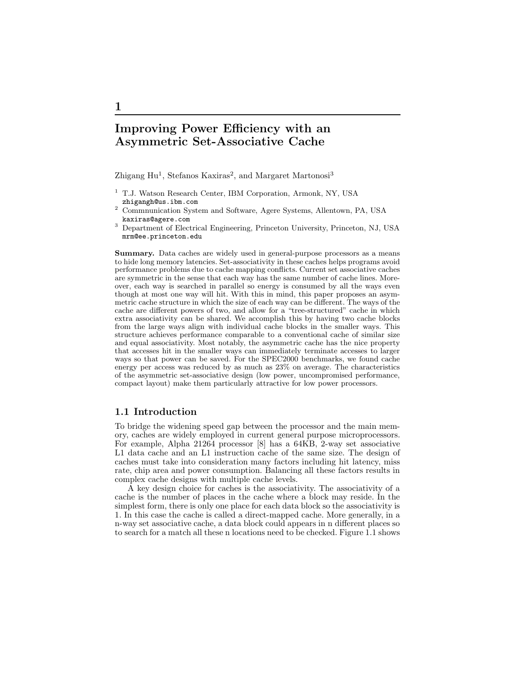# Improving Power Efficiency with an Asymmetric Set-Associative Cache

Zhigang  $\text{Hu}^1$ , Stefanos Kaxiras<sup>2</sup>, and Margaret Martonosi<sup>3</sup>

- <sup>1</sup> T.J. Watson Research Center, IBM Corporation, Armonk, NY, USA zhigangh@us.ibm.com
- <sup>2</sup> Commnunication System and Software, Agere Systems, Allentown, PA, USA kaxiras@agere.com
- <sup>3</sup> Department of Electrical Engineering, Princeton University, Princeton, NJ, USA mrm@ee.princeton.edu

Summary. Data caches are widely used in general-purpose processors as a means to hide long memory latencies. Set-associativity in these caches helps programs avoid performance problems due to cache mapping conflicts. Current set associative caches are symmetric in the sense that each way has the same number of cache lines. Moreover, each way is searched in parallel so energy is consumed by all the ways even though at most one way will hit. With this in mind, this paper proposes an asymmetric cache structure in which the size of each way can be different. The ways of the cache are different powers of two, and allow for a "tree-structured" cache in which extra associativity can be shared. We accomplish this by having two cache blocks from the large ways align with individual cache blocks in the smaller ways. This structure achieves performance comparable to a conventional cache of similar size and equal associativity. Most notably, the asymmetric cache has the nice property that accesses hit in the smaller ways can immediately terminate accesses to larger ways so that power can be saved. For the SPEC2000 benchmarks, we found cache energy per access was reduced by as much as 23% on average. The characteristics of the asymmetric set-associative design (low power, uncompromised performance, compact layout) make them particularly attractive for low power processors.

# 1.1 Introduction

To bridge the widening speed gap between the processor and the main memory, caches are widely employed in current general purpose microprocessors. For example, Alpha 21264 processor [8] has a 64KB, 2-way set associative L1 data cache and an L1 instruction cache of the same size. The design of caches must take into consideration many factors including hit latency, miss rate, chip area and power consumption. Balancing all these factors results in complex cache designs with multiple cache levels.

A key design choice for caches is the associativity. The associativity of a cache is the number of places in the cache where a block may reside. In the simplest form, there is only one place for each data block so the associativity is 1. In this case the cache is called a direct-mapped cache. More generally, in a n-way set associative cache, a data block could appears in n different places so to search for a match all these n locations need to be checked. Figure 1.1 shows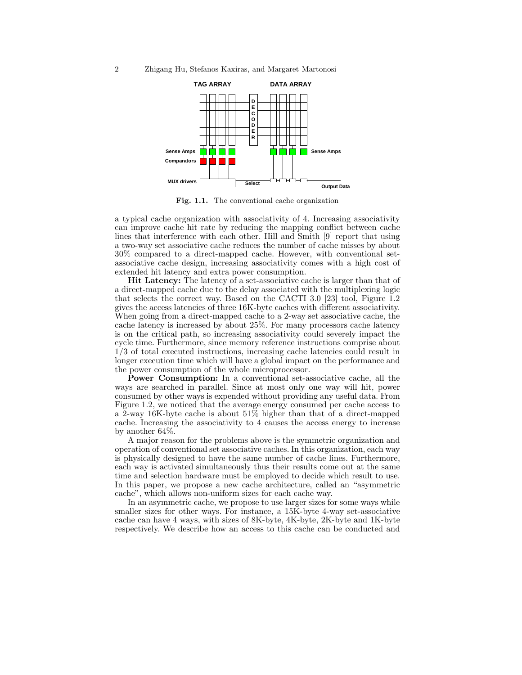2 Zhigang Hu, Stefanos Kaxiras, and Margaret Martonosi



Fig. 1.1. The conventional cache organization

a typical cache organization with associativity of 4. Increasing associativity can improve cache hit rate by reducing the mapping conflict between cache lines that interference with each other. Hill and Smith [9] report that using a two-way set associative cache reduces the number of cache misses by about 30% compared to a direct-mapped cache. However, with conventional setassociative cache design, increasing associativity comes with a high cost of extended hit latency and extra power consumption.

**Hit Latency:** The latency of a set-associative cache is larger than that of a direct-mapped cache due to the delay associated with the multiplexing logic that selects the correct way. Based on the CACTI 3.0 [23] tool, Figure 1.2 gives the access latencies of three 16K-byte caches with different associativity. When going from a direct-mapped cache to a 2-way set associative cache, the cache latency is increased by about 25%. For many processors cache latency is on the critical path, so increasing associativity could severely impact the cycle time. Furthermore, since memory reference instructions comprise about 1/3 of total executed instructions, increasing cache latencies could result in longer execution time which will have a global impact on the performance and the power consumption of the whole microprocessor.

Power Consumption: In a conventional set-associative cache, all the ways are searched in parallel. Since at most only one way will hit, power consumed by other ways is expended without providing any useful data. From Figure 1.2, we noticed that the average energy consumed per cache access to a 2-way 16K-byte cache is about 51% higher than that of a direct-mapped cache. Increasing the associativity to 4 causes the access energy to increase by another 64%.

A major reason for the problems above is the symmetric organization and operation of conventional set associative caches. In this organization, each way is physically designed to have the same number of cache lines. Furthermore, each way is activated simultaneously thus their results come out at the same time and selection hardware must be employed to decide which result to use. In this paper, we propose a new cache architecture, called an "asymmetric cache", which allows non-uniform sizes for each cache way.

In an asymmetric cache, we propose to use larger sizes for some ways while smaller sizes for other ways. For instance, a 15K-byte 4-way set-associative cache can have 4 ways, with sizes of 8K-byte, 4K-byte, 2K-byte and 1K-byte respectively. We describe how an access to this cache can be conducted and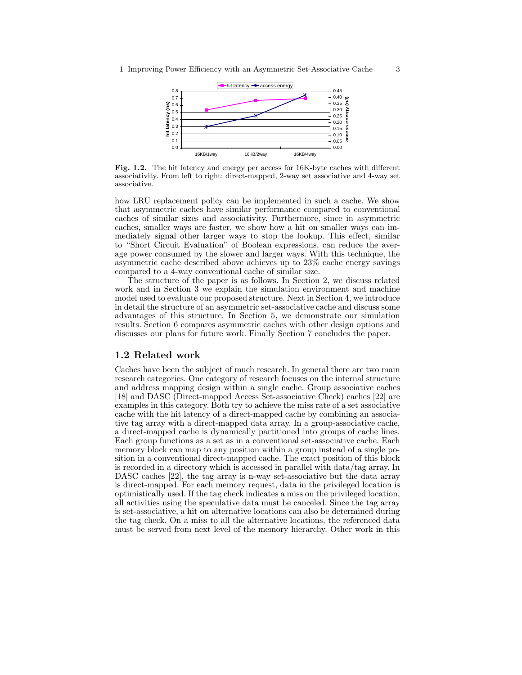

Fig. 1.2. The hit latency and energy per access for 16K-byte caches with different associativity. From left to right: direct-mapped, 2-way set associative and 4-way set associative.

how LRU replacement policy can be implemented in such a cache. We show that asymmetric caches have similar performance compared to conventional caches of similar sizes and associativity. Furthermore, since in asymmetric caches, smaller ways are faster, we show how a hit on smaller ways can immediately signal other larger ways to stop the lookup. This effect, similar to "Short Circuit Evaluation" of Boolean expressions, can reduce the average power consumed by the slower and larger ways. With this technique, the asymmetric cache described above achieves up to 23% cache energy savings compared to a 4-way conventional cache of similar size.

The structure of the paper is as follows. In Section 2, we discuss related work and in Section 3 we explain the simulation environment and machine model used to evaluate our proposed structure. Next in Section 4, we introduce in detail the structure of an asymmetric set-associative cache and discuss some advantages of this structure. In Section 5, we demonstrate our simulation results. Section 6 compares asymmetric caches with other design options and discusses our plans for future work. Finally Section 7 concludes the paper.

## 1.2 Related work

Caches have been the subject of much research. In general there are two main research categories. One category of research focuses on the internal structure and address mapping design within a single cache. Group associative caches [18] and DASC (Direct-mapped Access Set-associative Check) caches [22] are examples in this category. Both try to achieve the miss rate of a set associative cache with the hit latency of a direct-mapped cache by combining an associative tag array with a direct-mapped data array. In a group-associative cache, a direct-mapped cache is dynamically partitioned into groups of cache lines. Each group functions as a set as in a conventional set-associative cache. Each memory block can map to any position within a group instead of a single position in a conventional direct-mapped cache. The exact position of this block is recorded in a directory which is accessed in parallel with data/tag array. In DASC caches [22], the tag array is n-way set-associative but the data array is direct-mapped. For each memory request, data in the privileged location is optimistically used. If the tag check indicates a miss on the privileged location, all activities using the speculative data must be canceled. Since the tag array is set-associative, a hit on alternative locations can also be determined during the tag check. On a miss to all the alternative locations, the referenced data must be served from next level of the memory hierarchy. Other work in this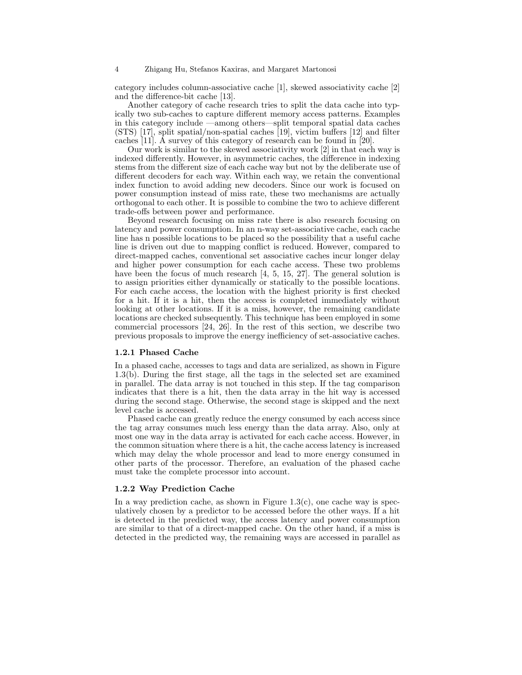category includes column-associative cache [1], skewed associativity cache [2] and the difference-bit cache [13].

Another category of cache research tries to split the data cache into typically two sub-caches to capture different memory access patterns. Examples in this category include —among others—split temporal spatial data caches (STS) [17], split spatial/non-spatial caches [19], victim buffers [12] and filter caches [11]. A survey of this category of research can be found in [20].

Our work is similar to the skewed associativity work [2] in that each way is indexed differently. However, in asymmetric caches, the difference in indexing stems from the different size of each cache way but not by the deliberate use of different decoders for each way. Within each way, we retain the conventional index function to avoid adding new decoders. Since our work is focused on power consumption instead of miss rate, these two mechanisms are actually orthogonal to each other. It is possible to combine the two to achieve different trade-offs between power and performance.

Beyond research focusing on miss rate there is also research focusing on latency and power consumption. In an n-way set-associative cache, each cache line has n possible locations to be placed so the possibility that a useful cache line is driven out due to mapping conflict is reduced. However, compared to direct-mapped caches, conventional set associative caches incur longer delay and higher power consumption for each cache access. These two problems have been the focus of much research [4, 5, 15, 27]. The general solution is to assign priorities either dynamically or statically to the possible locations. For each cache access, the location with the highest priority is first checked for a hit. If it is a hit, then the access is completed immediately without looking at other locations. If it is a miss, however, the remaining candidate locations are checked subsequently. This technique has been employed in some commercial processors [24, 26]. In the rest of this section, we describe two previous proposals to improve the energy inefficiency of set-associative caches.

#### 1.2.1 Phased Cache

In a phased cache, accesses to tags and data are serialized, as shown in Figure 1.3(b). During the first stage, all the tags in the selected set are examined in parallel. The data array is not touched in this step. If the tag comparison indicates that there is a hit, then the data array in the hit way is accessed during the second stage. Otherwise, the second stage is skipped and the next level cache is accessed.

Phased cache can greatly reduce the energy consumed by each access since the tag array consumes much less energy than the data array. Also, only at most one way in the data array is activated for each cache access. However, in the common situation where there is a hit, the cache access latency is increased which may delay the whole processor and lead to more energy consumed in other parts of the processor. Therefore, an evaluation of the phased cache must take the complete processor into account.

#### 1.2.2 Way Prediction Cache

In a way prediction cache, as shown in Figure  $1.3(c)$ , one cache way is speculatively chosen by a predictor to be accessed before the other ways. If a hit is detected in the predicted way, the access latency and power consumption are similar to that of a direct-mapped cache. On the other hand, if a miss is detected in the predicted way, the remaining ways are accessed in parallel as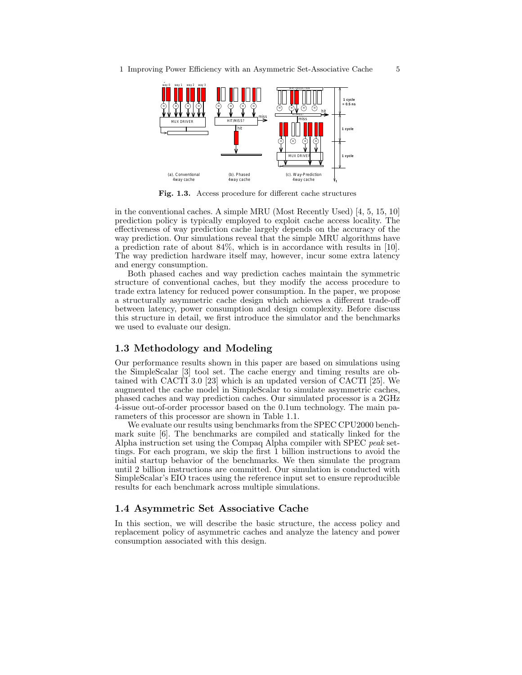1 Improving Power Efficiency with an Asymmetric Set-Associative Cache 5



Fig. 1.3. Access procedure for different cache structures

in the conventional caches. A simple MRU (Most Recently Used) [4, 5, 15, 10] prediction policy is typically employed to exploit cache access locality. The effectiveness of way prediction cache largely depends on the accuracy of the way prediction. Our simulations reveal that the simple MRU algorithms have a prediction rate of about 84%, which is in accordance with results in [10]. The way prediction hardware itself may, however, incur some extra latency and energy consumption.

Both phased caches and way prediction caches maintain the symmetric structure of conventional caches, but they modify the access procedure to trade extra latency for reduced power consumption. In the paper, we propose a structurally asymmetric cache design which achieves a different trade-off between latency, power consumption and design complexity. Before discuss this structure in detail, we first introduce the simulator and the benchmarks we used to evaluate our design.

# 1.3 Methodology and Modeling

Our performance results shown in this paper are based on simulations using the SimpleScalar [3] tool set. The cache energy and timing results are obtained with CACTI 3.0 [23] which is an updated version of CACTI [25]. We augmented the cache model in SimpleScalar to simulate asymmetric caches, phased caches and way prediction caches. Our simulated processor is a 2GHz 4-issue out-of-order processor based on the 0.1um technology. The main parameters of this processor are shown in Table 1.1.

We evaluate our results using benchmarks from the SPEC CPU2000 benchmark suite [6]. The benchmarks are compiled and statically linked for the Alpha instruction set using the Compaq Alpha compiler with SPEC peak settings. For each program, we skip the first 1 billion instructions to avoid the initial startup behavior of the benchmarks. We then simulate the program until 2 billion instructions are committed. Our simulation is conducted with SimpleScalar's EIO traces using the reference input set to ensure reproducible results for each benchmark across multiple simulations.

# 1.4 Asymmetric Set Associative Cache

In this section, we will describe the basic structure, the access policy and replacement policy of asymmetric caches and analyze the latency and power consumption associated with this design.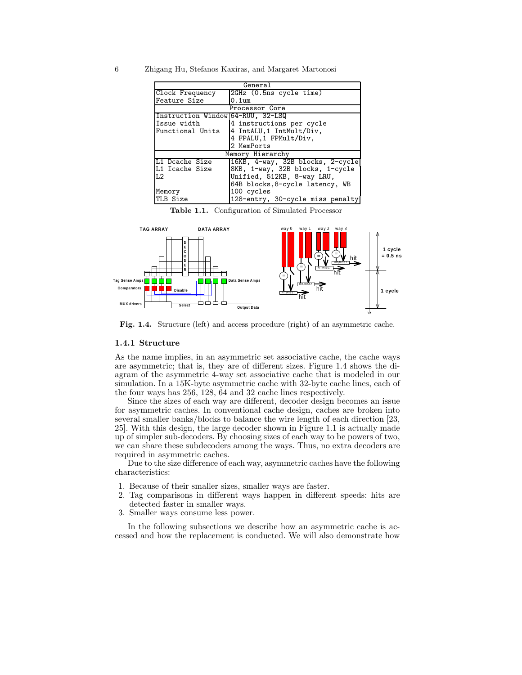6 Zhigang Hu, Stefanos Kaxiras, and Margaret Martonosi

| General                           |                                  |  |  |  |  |  |  |
|-----------------------------------|----------------------------------|--|--|--|--|--|--|
| Clock Frequency                   | 2GHz (0.5ns cycle time)          |  |  |  |  |  |  |
| Feature Size                      | $0.1$ um                         |  |  |  |  |  |  |
| Processor Core                    |                                  |  |  |  |  |  |  |
| Instruction Window 64-RUU, 32-LSQ |                                  |  |  |  |  |  |  |
| Issue width                       | 4 instructions per cycle         |  |  |  |  |  |  |
| Functional Units                  | 4 IntALU, 1 IntMult/Div,         |  |  |  |  |  |  |
|                                   | 4 FPALU, 1 FPMult/Div,           |  |  |  |  |  |  |
|                                   | 2 MemPorts                       |  |  |  |  |  |  |
| Memory Hierarchy                  |                                  |  |  |  |  |  |  |
| L1 Dcache Size                    | 16KB, 4-way, 32B blocks, 2-cycle |  |  |  |  |  |  |
| L1 Icache Size                    | 8KB, 1-way, 32B blocks, 1-cycle  |  |  |  |  |  |  |
| L <sub>2</sub>                    | Unified, 512KB, 8-way LRU,       |  |  |  |  |  |  |
|                                   | 64B blocks, 8-cycle latency, WB  |  |  |  |  |  |  |
| Memory                            | 100 cycles                       |  |  |  |  |  |  |
| TLB Size                          | 128-entry, 30-cycle miss penalty |  |  |  |  |  |  |

Table 1.1. Configuration of Simulated Processor



Fig. 1.4. Structure (left) and access procedure (right) of an asymmetric cache.

## 1.4.1 Structure

As the name implies, in an asymmetric set associative cache, the cache ways are asymmetric; that is, they are of different sizes. Figure 1.4 shows the diagram of the asymmetric 4-way set associative cache that is modeled in our simulation. In a 15K-byte asymmetric cache with 32-byte cache lines, each of the four ways has 256, 128, 64 and 32 cache lines respectively.

Since the sizes of each way are different, decoder design becomes an issue for asymmetric caches. In conventional cache design, caches are broken into several smaller banks/blocks to balance the wire length of each direction [23, 25]. With this design, the large decoder shown in Figure 1.1 is actually made up of simpler sub-decoders. By choosing sizes of each way to be powers of two, we can share these subdecoders among the ways. Thus, no extra decoders are required in asymmetric caches.

Due to the size difference of each way, asymmetric caches have the following characteristics:

- 1. Because of their smaller sizes, smaller ways are faster.
- 2. Tag comparisons in different ways happen in different speeds: hits are detected faster in smaller ways.
- 3. Smaller ways consume less power.

In the following subsections we describe how an asymmetric cache is accessed and how the replacement is conducted. We will also demonstrate how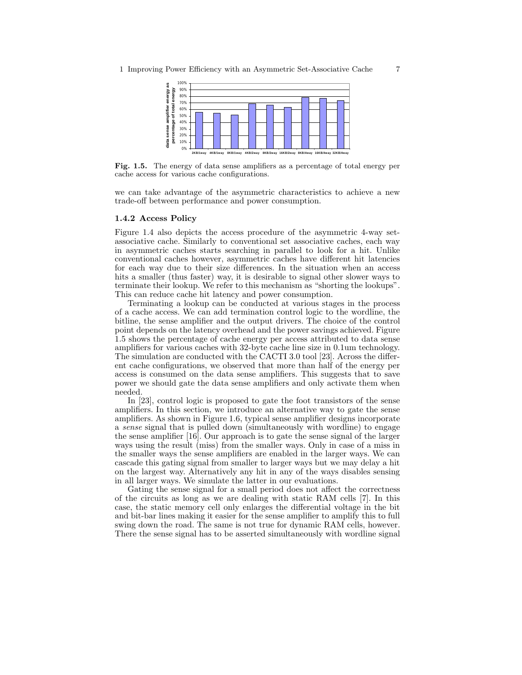

Fig. 1.5. The energy of data sense amplifiers as a percentage of total energy per cache access for various cache configurations.

we can take advantage of the asymmetric characteristics to achieve a new trade-off between performance and power consumption.

#### 1.4.2 Access Policy

Figure 1.4 also depicts the access procedure of the asymmetric 4-way setassociative cache. Similarly to conventional set associative caches, each way in asymmetric caches starts searching in parallel to look for a hit. Unlike conventional caches however, asymmetric caches have different hit latencies for each way due to their size differences. In the situation when an access hits a smaller (thus faster) way, it is desirable to signal other slower ways to terminate their lookup. We refer to this mechanism as "shorting the lookups". This can reduce cache hit latency and power consumption.

Terminating a lookup can be conducted at various stages in the process of a cache access. We can add termination control logic to the wordline, the bitline, the sense amplifier and the output drivers. The choice of the control point depends on the latency overhead and the power savings achieved. Figure 1.5 shows the percentage of cache energy per access attributed to data sense amplifiers for various caches with 32-byte cache line size in 0.1um technology. The simulation are conducted with the CACTI 3.0 tool [23]. Across the different cache configurations, we observed that more than half of the energy per access is consumed on the data sense amplifiers. This suggests that to save power we should gate the data sense amplifiers and only activate them when needed.

In [23], control logic is proposed to gate the foot transistors of the sense amplifiers. In this section, we introduce an alternative way to gate the sense amplifiers. As shown in Figure 1.6, typical sense amplifier designs incorporate a sense signal that is pulled down (simultaneously with wordline) to engage the sense amplifier [16]. Our approach is to gate the sense signal of the larger ways using the result (miss) from the smaller ways. Only in case of a miss in the smaller ways the sense amplifiers are enabled in the larger ways. We can cascade this gating signal from smaller to larger ways but we may delay a hit on the largest way. Alternatively any hit in any of the ways disables sensing in all larger ways. We simulate the latter in our evaluations.

Gating the sense signal for a small period does not affect the correctness of the circuits as long as we are dealing with static RAM cells [7]. In this case, the static memory cell only enlarges the differential voltage in the bit and bit-bar lines making it easier for the sense amplifier to amplify this to full swing down the road. The same is not true for dynamic RAM cells, however. There the sense signal has to be asserted simultaneously with wordline signal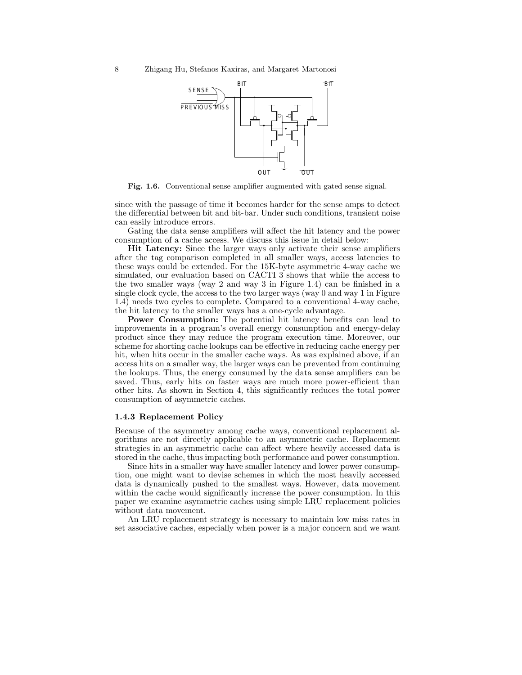

Fig. 1.6. Conventional sense amplifier augmented with gated sense signal.

since with the passage of time it becomes harder for the sense amps to detect the differential between bit and bit-bar. Under such conditions, transient noise can easily introduce errors.

Gating the data sense amplifiers will affect the hit latency and the power consumption of a cache access. We discuss this issue in detail below:

Hit Latency: Since the larger ways only activate their sense amplifiers after the tag comparison completed in all smaller ways, access latencies to these ways could be extended. For the 15K-byte asymmetric 4-way cache we simulated, our evaluation based on CACTI 3 shows that while the access to the two smaller ways (way 2 and way 3 in Figure 1.4) can be finished in a single clock cycle, the access to the two larger ways (way 0 and way 1 in Figure 1.4) needs two cycles to complete. Compared to a conventional 4-way cache, the hit latency to the smaller ways has a one-cycle advantage.

Power Consumption: The potential hit latency benefits can lead to improvements in a program's overall energy consumption and energy-delay product since they may reduce the program execution time. Moreover, our scheme for shorting cache lookups can be effective in reducing cache energy per hit, when hits occur in the smaller cache ways. As was explained above, if an access hits on a smaller way, the larger ways can be prevented from continuing the lookups. Thus, the energy consumed by the data sense amplifiers can be saved. Thus, early hits on faster ways are much more power-efficient than other hits. As shown in Section 4, this significantly reduces the total power consumption of asymmetric caches.

#### 1.4.3 Replacement Policy

Because of the asymmetry among cache ways, conventional replacement algorithms are not directly applicable to an asymmetric cache. Replacement strategies in an asymmetric cache can affect where heavily accessed data is stored in the cache, thus impacting both performance and power consumption.

Since hits in a smaller way have smaller latency and lower power consumption, one might want to devise schemes in which the most heavily accessed data is dynamically pushed to the smallest ways. However, data movement within the cache would significantly increase the power consumption. In this paper we examine asymmetric caches using simple LRU replacement policies without data movement.

An LRU replacement strategy is necessary to maintain low miss rates in set associative caches, especially when power is a major concern and we want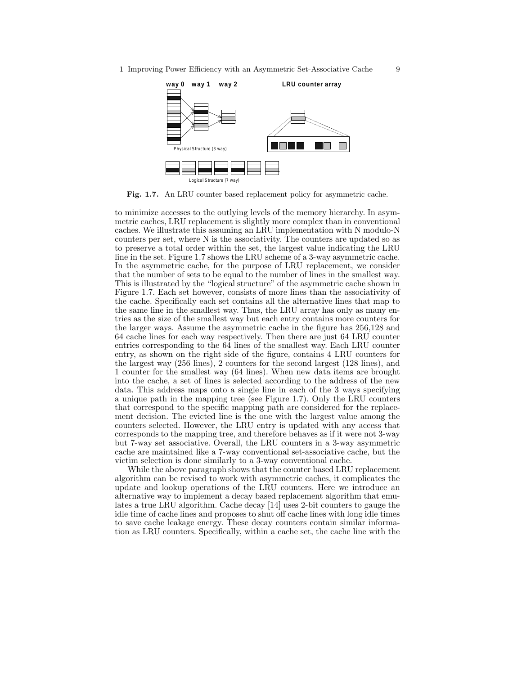1 Improving Power Efficiency with an Asymmetric Set-Associative Cache 9



Fig. 1.7. An LRU counter based replacement policy for asymmetric cache.

to minimize accesses to the outlying levels of the memory hierarchy. In asymmetric caches, LRU replacement is slightly more complex than in conventional caches. We illustrate this assuming an LRU implementation with N modulo-N counters per set, where N is the associativity. The counters are updated so as to preserve a total order within the set, the largest value indicating the LRU line in the set. Figure 1.7 shows the LRU scheme of a 3-way asymmetric cache. In the asymmetric cache, for the purpose of LRU replacement, we consider that the number of sets to be equal to the number of lines in the smallest way. This is illustrated by the "logical structure" of the asymmetric cache shown in Figure 1.7. Each set however, consists of more lines than the associativity of the cache. Specifically each set contains all the alternative lines that map to the same line in the smallest way. Thus, the LRU array has only as many entries as the size of the smallest way but each entry contains more counters for the larger ways. Assume the asymmetric cache in the figure has 256,128 and 64 cache lines for each way respectively. Then there are just 64 LRU counter entries corresponding to the 64 lines of the smallest way. Each LRU counter entry, as shown on the right side of the figure, contains 4 LRU counters for the largest way (256 lines), 2 counters for the second largest (128 lines), and 1 counter for the smallest way (64 lines). When new data items are brought into the cache, a set of lines is selected according to the address of the new data. This address maps onto a single line in each of the 3 ways specifying a unique path in the mapping tree (see Figure 1.7). Only the LRU counters that correspond to the specific mapping path are considered for the replacement decision. The evicted line is the one with the largest value among the counters selected. However, the LRU entry is updated with any access that corresponds to the mapping tree, and therefore behaves as if it were not 3-way but 7-way set associative. Overall, the LRU counters in a 3-way asymmetric cache are maintained like a 7-way conventional set-associative cache, but the victim selection is done similarly to a 3-way conventional cache.

While the above paragraph shows that the counter based LRU replacement algorithm can be revised to work with asymmetric caches, it complicates the update and lookup operations of the LRU counters. Here we introduce an alternative way to implement a decay based replacement algorithm that emulates a true LRU algorithm. Cache decay [14] uses 2-bit counters to gauge the idle time of cache lines and proposes to shut off cache lines with long idle times to save cache leakage energy. These decay counters contain similar information as LRU counters. Specifically, within a cache set, the cache line with the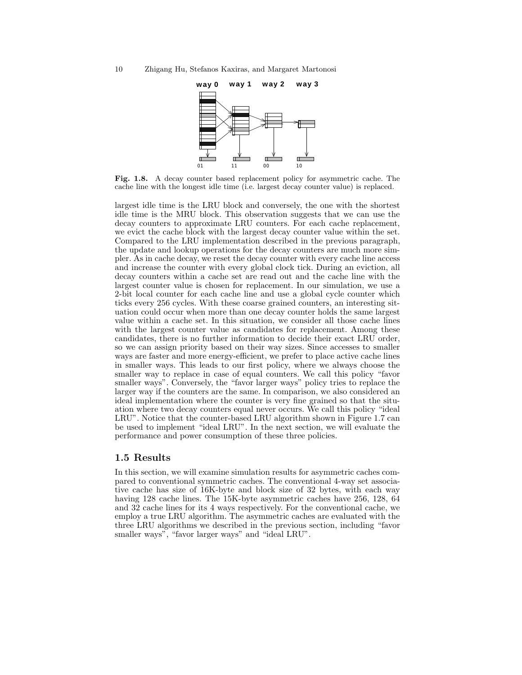

Fig. 1.8. A decay counter based replacement policy for asymmetric cache. The cache line with the longest idle time (i.e. largest decay counter value) is replaced.

largest idle time is the LRU block and conversely, the one with the shortest idle time is the MRU block. This observation suggests that we can use the decay counters to approximate LRU counters. For each cache replacement, we evict the cache block with the largest decay counter value within the set. Compared to the LRU implementation described in the previous paragraph, the update and lookup operations for the decay counters are much more simpler. As in cache decay, we reset the decay counter with every cache line access and increase the counter with every global clock tick. During an eviction, all decay counters within a cache set are read out and the cache line with the largest counter value is chosen for replacement. In our simulation, we use a 2-bit local counter for each cache line and use a global cycle counter which ticks every 256 cycles. With these coarse grained counters, an interesting situation could occur when more than one decay counter holds the same largest value within a cache set. In this situation, we consider all those cache lines with the largest counter value as candidates for replacement. Among these candidates, there is no further information to decide their exact LRU order, so we can assign priority based on their way sizes. Since accesses to smaller ways are faster and more energy-efficient, we prefer to place active cache lines in smaller ways. This leads to our first policy, where we always choose the smaller way to replace in case of equal counters. We call this policy "favor smaller ways". Conversely, the "favor larger ways" policy tries to replace the larger way if the counters are the same. In comparison, we also considered an ideal implementation where the counter is very fine grained so that the situation where two decay counters equal never occurs. We call this policy "ideal LRU". Notice that the counter-based LRU algorithm shown in Figure 1.7 can be used to implement "ideal LRU". In the next section, we will evaluate the performance and power consumption of these three policies.

# 1.5 Results

In this section, we will examine simulation results for asymmetric caches compared to conventional symmetric caches. The conventional 4-way set associative cache has size of 16K-byte and block size of 32 bytes, with each way having 128 cache lines. The 15K-byte asymmetric caches have 256, 128, 64 and 32 cache lines for its 4 ways respectively. For the conventional cache, we employ a true LRU algorithm. The asymmetric caches are evaluated with the three LRU algorithms we described in the previous section, including "favor smaller ways", "favor larger ways" and "ideal LRU".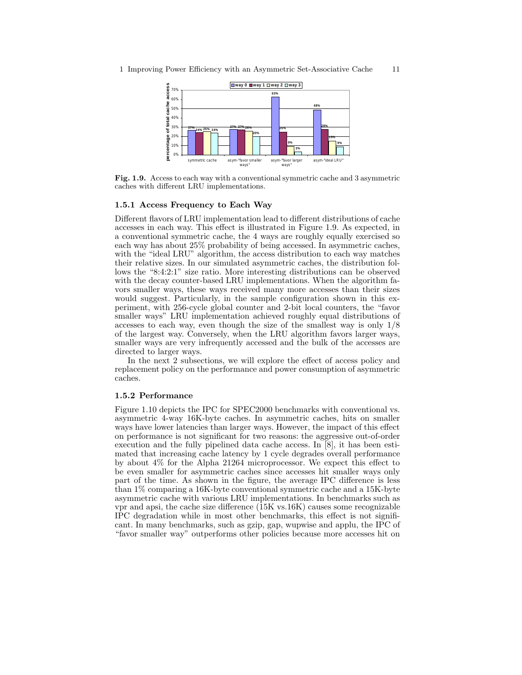

Fig. 1.9. Access to each way with a conventional symmetric cache and 3 asymmetric caches with different LRU implementations.

#### 1.5.1 Access Frequency to Each Way

Different flavors of LRU implementation lead to different distributions of cache accesses in each way. This effect is illustrated in Figure 1.9. As expected, in a conventional symmetric cache, the 4 ways are roughly equally exercised so each way has about 25% probability of being accessed. In asymmetric caches, with the "ideal LRU" algorithm, the access distribution to each way matches their relative sizes. In our simulated asymmetric caches, the distribution follows the "8:4:2:1" size ratio. More interesting distributions can be observed with the decay counter-based LRU implementations. When the algorithm favors smaller ways, these ways received many more accesses than their sizes would suggest. Particularly, in the sample configuration shown in this experiment, with 256-cycle global counter and 2-bit local counters, the "favor smaller ways" LRU implementation achieved roughly equal distributions of accesses to each way, even though the size of the smallest way is only 1/8 of the largest way. Conversely, when the LRU algorithm favors larger ways, smaller ways are very infrequently accessed and the bulk of the accesses are directed to larger ways.

In the next 2 subsections, we will explore the effect of access policy and replacement policy on the performance and power consumption of asymmetric caches.

#### 1.5.2 Performance

Figure 1.10 depicts the IPC for SPEC2000 benchmarks with conventional vs. asymmetric 4-way 16K-byte caches. In asymmetric caches, hits on smaller ways have lower latencies than larger ways. However, the impact of this effect on performance is not significant for two reasons: the aggressive out-of-order execution and the fully pipelined data cache access. In [8], it has been estimated that increasing cache latency by 1 cycle degrades overall performance by about 4% for the Alpha 21264 microprocessor. We expect this effect to be even smaller for asymmetric caches since accesses hit smaller ways only part of the time. As shown in the figure, the average IPC difference is less than 1% comparing a 16K-byte conventional symmetric cache and a 15K-byte asymmetric cache with various LRU implementations. In benchmarks such as vpr and apsi, the cache size difference (15K vs.16K) causes some recognizable IPC degradation while in most other benchmarks, this effect is not significant. In many benchmarks, such as gzip, gap, wupwise and applu, the IPC of "favor smaller way" outperforms other policies because more accesses hit on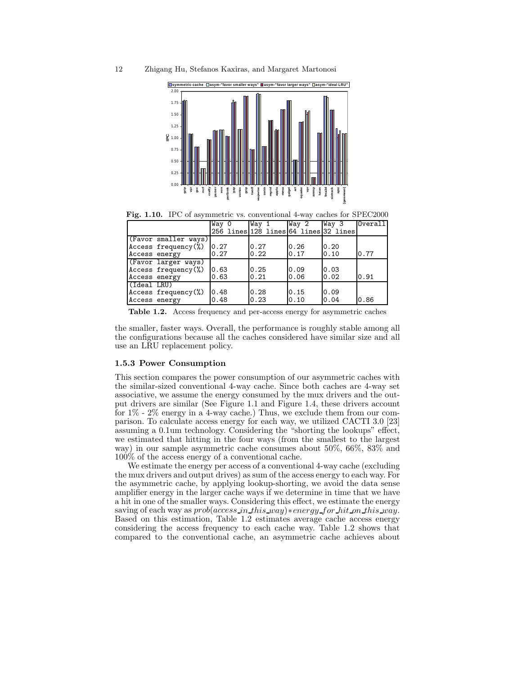

Fig. 1.10. IPC of asymmetric vs. conventional 4-way caches for SPEC2000

|                             | Way  | Way 1 | Way 2                                 | Way 3 | Overall |
|-----------------------------|------|-------|---------------------------------------|-------|---------|
|                             |      |       | 256 lines 128 lines 64 lines 32 lines |       |         |
| (Favor smaller ways)        |      |       |                                       |       |         |
| Access frequency $(\%)$     | 0.27 | 0.27  | 0.26                                  | 0.20  |         |
| Access energy               | 0.27 | 0.22  | 0.17                                  | 0.10  | 0.77    |
| (Favor larger ways)         |      |       |                                       |       |         |
| $ $ Access frequency $(\%)$ | 0.63 | 0.25  | 0.09                                  | 0.03  |         |
| Access energy               | 0.63 | 0.21  | 0.06                                  | 0.02  | 0.91    |
| (Ideal LRU)                 |      |       |                                       |       |         |
| $ $ Access frequency $(\%)$ | 0.48 | 0.28  | 0.15                                  | 0.09  |         |
| Access energy               | 0.48 | 0.23  | 0.10                                  | 0.04  | 0.86    |

Table 1.2. Access frequency and per-access energy for asymmetric caches

the smaller, faster ways. Overall, the performance is roughly stable among all the configurations because all the caches considered have similar size and all use an LRU replacement policy.

#### 1.5.3 Power Consumption

This section compares the power consumption of our asymmetric caches with the similar-sized conventional 4-way cache. Since both caches are 4-way set associative, we assume the energy consumed by the mux drivers and the output drivers are similar (See Figure 1.1 and Figure 1.4, these drivers account for 1% - 2% energy in a 4-way cache.) Thus, we exclude them from our comparison. To calculate access energy for each way, we utilized CACTI 3.0 [23] assuming a 0.1um technology. Considering the "shorting the lookups" effect, we estimated that hitting in the four ways (from the smallest to the largest way) in our sample asymmetric cache consumes about 50%, 66%, 83% and 100% of the access energy of a conventional cache.

We estimate the energy per access of a conventional 4-way cache (excluding the mux drivers and output drives) as sum of the access energy to each way. For the asymmetric cache, by applying lookup-shorting, we avoid the data sense amplifier energy in the larger cache ways if we determine in time that we have a hit in one of the smaller ways. Considering this effect, we estimate the energy saving of each way as prob(access in this way)∗energy for hit on this way. Based on this estimation, Table 1.2 estimates average cache access energy considering the access frequency to each cache way. Table 1.2 shows that compared to the conventional cache, an asymmetric cache achieves about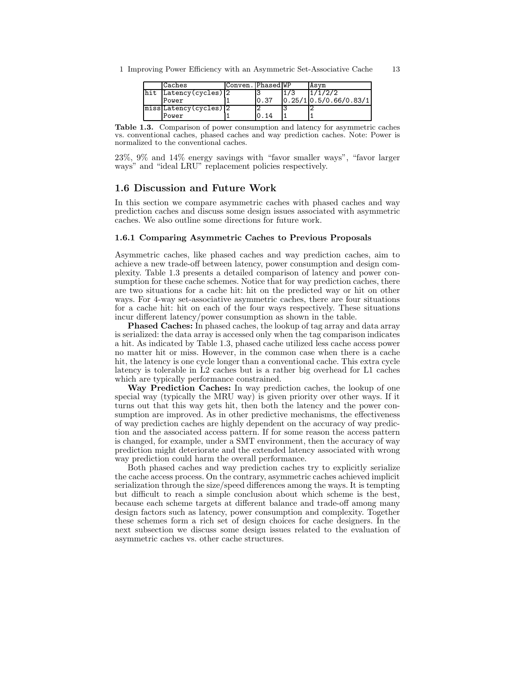1 Improving Power Efficiency with an Asymmetric Set-Associative Cache 13

| Caches                  | Conven. Phased WP |      | Asvm                  |
|-------------------------|-------------------|------|-----------------------|
| hit Latency(cycles) 2   |                   |      | 1/1/2/2               |
| Power                   |                   | 0.37 | 0.25/10.5/0.66/0.83/1 |
| miss Latency (cycles) 2 |                   |      |                       |
| Power                   |                   | .14  |                       |

Table 1.3. Comparison of power consumption and latency for asymmetric caches vs. conventional caches, phased caches and way prediction caches. Note: Power is normalized to the conventional caches.

23%, 9% and 14% energy savings with "favor smaller ways", "favor larger ways" and "ideal LRU" replacement policies respectively.

# 1.6 Discussion and Future Work

In this section we compare asymmetric caches with phased caches and way prediction caches and discuss some design issues associated with asymmetric caches. We also outline some directions for future work.

### 1.6.1 Comparing Asymmetric Caches to Previous Proposals

Asymmetric caches, like phased caches and way prediction caches, aim to achieve a new trade-off between latency, power consumption and design complexity. Table 1.3 presents a detailed comparison of latency and power consumption for these cache schemes. Notice that for way prediction caches, there are two situations for a cache hit: hit on the predicted way or hit on other ways. For 4-way set-associative asymmetric caches, there are four situations for a cache hit: hit on each of the four ways respectively. These situations incur different latency/power consumption as shown in the table.

Phased Caches: In phased caches, the lookup of tag array and data array is serialized: the data array is accessed only when the tag comparison indicates a hit. As indicated by Table 1.3, phased cache utilized less cache access power no matter hit or miss. However, in the common case when there is a cache hit, the latency is one cycle longer than a conventional cache. This extra cycle latency is tolerable in L2 caches but is a rather big overhead for L1 caches which are typically performance constrained.

Way Prediction Caches: In way prediction caches, the lookup of one special way (typically the MRU way) is given priority over other ways. If it turns out that this way gets hit, then both the latency and the power consumption are improved. As in other predictive mechanisms, the effectiveness of way prediction caches are highly dependent on the accuracy of way prediction and the associated access pattern. If for some reason the access pattern is changed, for example, under a SMT environment, then the accuracy of way prediction might deteriorate and the extended latency associated with wrong way prediction could harm the overall performance.

Both phased caches and way prediction caches try to explicitly serialize the cache access process. On the contrary, asymmetric caches achieved implicit serialization through the size/speed differences among the ways. It is tempting but difficult to reach a simple conclusion about which scheme is the best, because each scheme targets at different balance and trade-off among many design factors such as latency, power consumption and complexity. Together these schemes form a rich set of design choices for cache designers. In the next subsection we discuss some design issues related to the evaluation of asymmetric caches vs. other cache structures.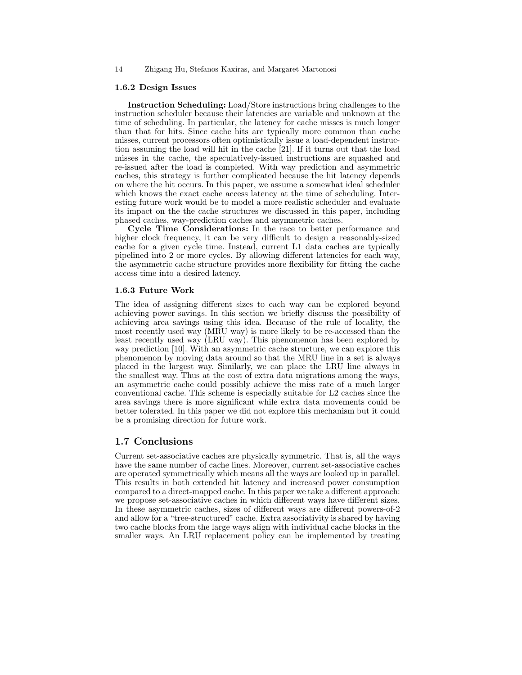14 Zhigang Hu, Stefanos Kaxiras, and Margaret Martonosi

### 1.6.2 Design Issues

Instruction Scheduling: Load/Store instructions bring challenges to the instruction scheduler because their latencies are variable and unknown at the time of scheduling. In particular, the latency for cache misses is much longer than that for hits. Since cache hits are typically more common than cache misses, current processors often optimistically issue a load-dependent instruction assuming the load will hit in the cache [21]. If it turns out that the load misses in the cache, the speculatively-issued instructions are squashed and re-issued after the load is completed. With way prediction and asymmetric caches, this strategy is further complicated because the hit latency depends on where the hit occurs. In this paper, we assume a somewhat ideal scheduler which knows the exact cache access latency at the time of scheduling. Interesting future work would be to model a more realistic scheduler and evaluate its impact on the the cache structures we discussed in this paper, including phased caches, way-prediction caches and asymmetric caches.

Cycle Time Considerations: In the race to better performance and higher clock frequency, it can be very difficult to design a reasonably-sized cache for a given cycle time. Instead, current L1 data caches are typically pipelined into 2 or more cycles. By allowing different latencies for each way, the asymmetric cache structure provides more flexibility for fitting the cache access time into a desired latency.

#### 1.6.3 Future Work

The idea of assigning different sizes to each way can be explored beyond achieving power savings. In this section we briefly discuss the possibility of achieving area savings using this idea. Because of the rule of locality, the most recently used way (MRU way) is more likely to be re-accessed than the least recently used way (LRU way). This phenomenon has been explored by way prediction [10]. With an asymmetric cache structure, we can explore this phenomenon by moving data around so that the MRU line in a set is always placed in the largest way. Similarly, we can place the LRU line always in the smallest way. Thus at the cost of extra data migrations among the ways, an asymmetric cache could possibly achieve the miss rate of a much larger conventional cache. This scheme is especially suitable for L2 caches since the area savings there is more significant while extra data movements could be better tolerated. In this paper we did not explore this mechanism but it could be a promising direction for future work.

## 1.7 Conclusions

Current set-associative caches are physically symmetric. That is, all the ways have the same number of cache lines. Moreover, current set-associative caches are operated symmetrically which means all the ways are looked up in parallel. This results in both extended hit latency and increased power consumption compared to a direct-mapped cache. In this paper we take a different approach: we propose set-associative caches in which different ways have different sizes. In these asymmetric caches, sizes of different ways are different powers-of-2 and allow for a "tree-structured" cache. Extra associativity is shared by having two cache blocks from the large ways align with individual cache blocks in the smaller ways. An LRU replacement policy can be implemented by treating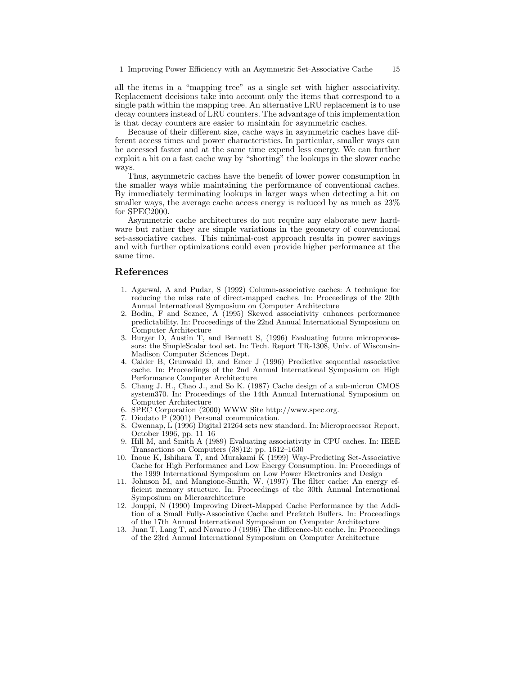1 Improving Power Efficiency with an Asymmetric Set-Associative Cache 15

all the items in a "mapping tree" as a single set with higher associativity. Replacement decisions take into account only the items that correspond to a single path within the mapping tree. An alternative LRU replacement is to use decay counters instead of LRU counters. The advantage of this implementation is that decay counters are easier to maintain for asymmetric caches.

Because of their different size, cache ways in asymmetric caches have different access times and power characteristics. In particular, smaller ways can be accessed faster and at the same time expend less energy. We can further exploit a hit on a fast cache way by "shorting" the lookups in the slower cache ways.

Thus, asymmetric caches have the benefit of lower power consumption in the smaller ways while maintaining the performance of conventional caches. By immediately terminating lookups in larger ways when detecting a hit on smaller ways, the average cache access energy is reduced by as much as 23% for SPEC2000.

Asymmetric cache architectures do not require any elaborate new hardware but rather they are simple variations in the geometry of conventional set-associative caches. This minimal-cost approach results in power savings and with further optimizations could even provide higher performance at the same time.

# References

- 1. Agarwal, A and Pudar, S (1992) Column-associative caches: A technique for reducing the miss rate of direct-mapped caches. In: Proceedings of the 20th Annual International Symposium on Computer Architecture
- 2. Bodin, F and Seznec, A (1995) Skewed associativity enhances performance predictability. In: Proceedings of the 22nd Annual International Symposium on Computer Architecture
- 3. Burger D, Austin T, and Bennett S, (1996) Evaluating future microprocessors: the SimpleScalar tool set. In: Tech. Report TR-1308, Univ. of Wisconsin-Madison Computer Sciences Dept.
- 4. Calder B, Grunwald D, and Emer J (1996) Predictive sequential associative cache. In: Proceedings of the 2nd Annual International Symposium on High Performance Computer Architecture
- 5. Chang J. H., Chao J., and So K. (1987) Cache design of a sub-micron CMOS system370. In: Proceedings of the 14th Annual International Symposium on Computer Architecture
- 6. SPEC Corporation (2000) WWW Site http://www.spec.org.
- 7. Diodato P (2001) Personal communication.
- 8. Gwennap, L (1996) Digital 21264 sets new standard. In: Microprocessor Report, October 1996, pp. 11–16
- 9. Hill M, and Smith A (1989) Evaluating associativity in CPU caches. In: IEEE Transactions on Computers (38)12: pp. 1612–1630
- 10. Inoue K, Ishihara T, and Murakami K (1999) Way-Predicting Set-Associative Cache for High Performance and Low Energy Consumption. In: Proceedings of the 1999 International Symposium on Low Power Electronics and Design
- 11. Johnson M, and Mangione-Smith, W. (1997) The filter cache: An energy efficient memory structure. In: Proceedings of the 30th Annual International Symposium on Microarchitecture
- 12. Jouppi, N (1990) Improving Direct-Mapped Cache Performance by the Addition of a Small Fully-Associative Cache and Prefetch Buffers. In: Proceedings of the 17th Annual International Symposium on Computer Architecture
- 13. Juan T, Lang T, and Navarro J (1996) The difference-bit cache. In: Proceedings of the 23rd Annual International Symposium on Computer Architecture